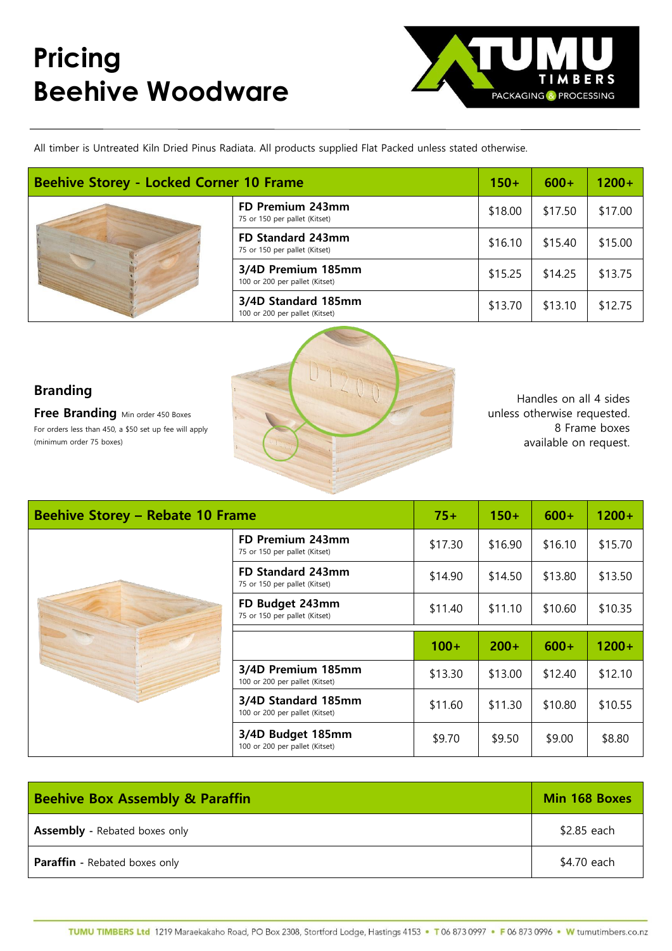## **Pricing Beehive Woodware**



All timber is Untreated Kiln Dried Pinus Radiata. All products supplied Flat Packed unless stated otherwise.

| <b>Beehive Storey - Locked Corner 10 Frame</b> |                                                       | $150+$  | $600+$  | $1200+$ |
|------------------------------------------------|-------------------------------------------------------|---------|---------|---------|
|                                                | FD Premium 243mm<br>75 or 150 per pallet (Kitset)     | \$18.00 | \$17.50 | \$17.00 |
|                                                | FD Standard 243mm<br>75 or 150 per pallet (Kitset)    | \$16.10 | \$15.40 | \$15.00 |
|                                                | 3/4D Premium 185mm<br>100 or 200 per pallet (Kitset)  | \$15.25 | \$14.25 | \$13.75 |
|                                                | 3/4D Standard 185mm<br>100 or 200 per pallet (Kitset) | \$13.70 | \$13.10 | \$12.75 |

## **Branding**

**Free Branding** Min order 450 Boxes For orders less than 450, a \$50 set up fee will apply (minimum order 75 boxes)



Handles on all 4 sides unless otherwise requested. 8 Frame boxes available on request.

| <b>Beehive Storey - Rebate 10 Frame</b> |                                                       | $75+$   | $150+$  | $600+$  | $1200+$ |
|-----------------------------------------|-------------------------------------------------------|---------|---------|---------|---------|
|                                         | FD Premium 243mm<br>75 or 150 per pallet (Kitset)     | \$17.30 | \$16.90 | \$16.10 | \$15.70 |
|                                         | FD Standard 243mm<br>75 or 150 per pallet (Kitset)    | \$14.90 | \$14.50 | \$13.80 | \$13.50 |
|                                         | FD Budget 243mm<br>75 or 150 per pallet (Kitset)      | \$11.40 | \$11.10 | \$10.60 | \$10.35 |
|                                         |                                                       |         |         |         |         |
|                                         |                                                       |         |         |         |         |
|                                         |                                                       | $100+$  | $200+$  | $600+$  | $1200+$ |
|                                         | 3/4D Premium 185mm<br>100 or 200 per pallet (Kitset)  | \$13.30 | \$13.00 | \$12.40 | \$12.10 |
|                                         | 3/4D Standard 185mm<br>100 or 200 per pallet (Kitset) | \$11.60 | \$11.30 | \$10.80 | \$10.55 |

| <b>Beehive Box Assembly &amp; Paraffin</b> | Min 168 Boxes |  |
|--------------------------------------------|---------------|--|
| <b>Assembly</b> - Rebated boxes only       | \$2.85 each   |  |
| <b>Paraffin</b> - Rebated boxes only       | \$4.70 each   |  |